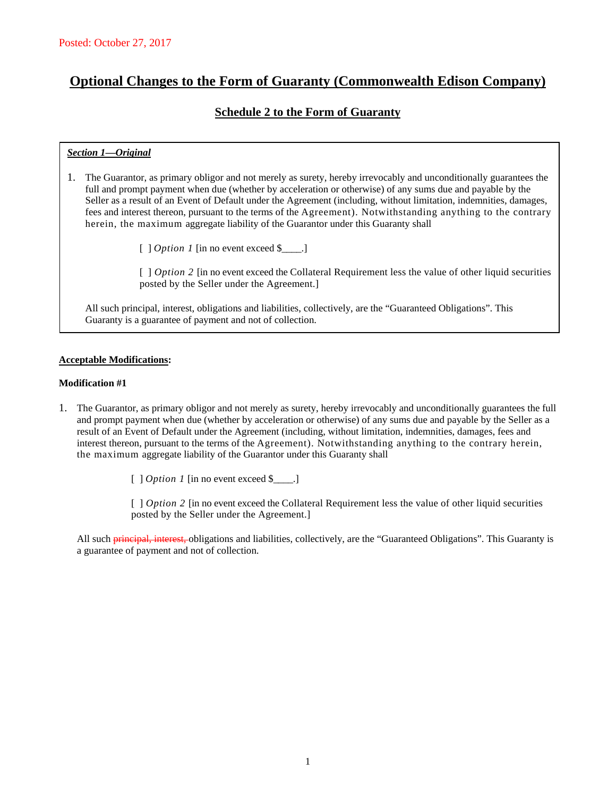# **Optional Changes to the Form of Guaranty (Commonwealth Edison Company)**

## **Schedule 2 to the Form of Guaranty**

## *Section 1—Original*

- 1. The Guarantor, as primary obligor and not merely as surety, hereby irrevocably and unconditionally guarantees the full and prompt payment when due (whether by acceleration or otherwise) of any sums due and payable by the Seller as a result of an Event of Default under the Agreement (including, without limitation, indemnities, damages, fees and interest thereon, pursuant to the terms of the Agreement). Notwithstanding anything to the contrary herein, the maximum aggregate liability of the Guarantor under this Guaranty shall
	- [ ] *Option 1* [in no event exceed \$\_\_\_\_.]

[ ] *Option 2* [in no event exceed the Collateral Requirement less the value of other liquid securities posted by the Seller under the Agreement.]

All such principal, interest, obligations and liabilities, collectively, are the "Guaranteed Obligations". This Guaranty is a guarantee of payment and not of collection.

#### **Acceptable Modifications:**

#### **Modification #1**

1. The Guarantor, as primary obligor and not merely as surety, hereby irrevocably and unconditionally guarantees the full and prompt payment when due (whether by acceleration or otherwise) of any sums due and payable by the Seller as a result of an Event of Default under the Agreement (including, without limitation, indemnities, damages, fees and interest thereon, pursuant to the terms of the Agreement). Notwithstanding anything to the contrary herein, the maximum aggregate liability of the Guarantor under this Guaranty shall

[ ] *Option 1* [in no event exceed \$\_\_\_\_.]

[ ] *Option 2* [in no event exceed the Collateral Requirement less the value of other liquid securities posted by the Seller under the Agreement.]

All such **principal, interest,** obligations and liabilities, collectively, are the "Guaranteed Obligations". This Guaranty is a guarantee of payment and not of collection.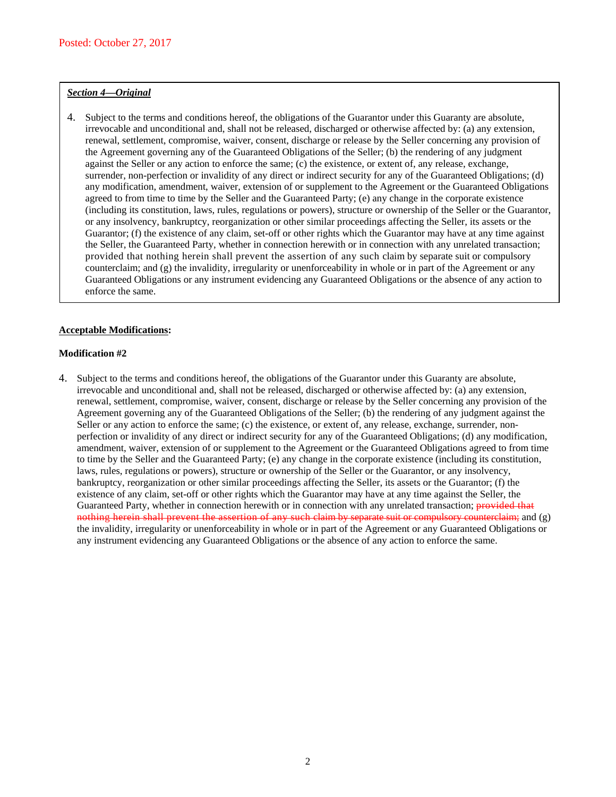### *Section 4—Original*

4. Subject to the terms and conditions hereof, the obligations of the Guarantor under this Guaranty are absolute, irrevocable and unconditional and, shall not be released, discharged or otherwise affected by: (a) any extension, renewal, settlement, compromise, waiver, consent, discharge or release by the Seller concerning any provision of the Agreement governing any of the Guaranteed Obligations of the Seller; (b) the rendering of any judgment against the Seller or any action to enforce the same; (c) the existence, or extent of, any release, exchange, surrender, non-perfection or invalidity of any direct or indirect security for any of the Guaranteed Obligations; (d) any modification, amendment, waiver, extension of or supplement to the Agreement or the Guaranteed Obligations agreed to from time to time by the Seller and the Guaranteed Party; (e) any change in the corporate existence (including its constitution, laws, rules, regulations or powers), structure or ownership of the Seller or the Guarantor, or any insolvency, bankruptcy, reorganization or other similar proceedings affecting the Seller, its assets or the Guarantor; (f) the existence of any claim, set-off or other rights which the Guarantor may have at any time against the Seller, the Guaranteed Party, whether in connection herewith or in connection with any unrelated transaction; provided that nothing herein shall prevent the assertion of any such claim by separate suit or compulsory counterclaim; and (g) the invalidity, irregularity or unenforceability in whole or in part of the Agreement or any Guaranteed Obligations or any instrument evidencing any Guaranteed Obligations or the absence of any action to enforce the same.

#### **Acceptable Modifications:**

#### **Modification #2**

4. Subject to the terms and conditions hereof, the obligations of the Guarantor under this Guaranty are absolute, irrevocable and unconditional and, shall not be released, discharged or otherwise affected by: (a) any extension, renewal, settlement, compromise, waiver, consent, discharge or release by the Seller concerning any provision of the Agreement governing any of the Guaranteed Obligations of the Seller; (b) the rendering of any judgment against the Seller or any action to enforce the same; (c) the existence, or extent of, any release, exchange, surrender, nonperfection or invalidity of any direct or indirect security for any of the Guaranteed Obligations; (d) any modification, amendment, waiver, extension of or supplement to the Agreement or the Guaranteed Obligations agreed to from time to time by the Seller and the Guaranteed Party; (e) any change in the corporate existence (including its constitution, laws, rules, regulations or powers), structure or ownership of the Seller or the Guarantor, or any insolvency, bankruptcy, reorganization or other similar proceedings affecting the Seller, its assets or the Guarantor; (f) the existence of any claim, set-off or other rights which the Guarantor may have at any time against the Seller, the Guaranteed Party, whether in connection herewith or in connection with any unrelated transaction; provided that nothing herein shall prevent the assertion of any such claim by separate suit or compulsory counterclaim; and (g) the invalidity, irregularity or unenforceability in whole or in part of the Agreement or any Guaranteed Obligations or any instrument evidencing any Guaranteed Obligations or the absence of any action to enforce the same.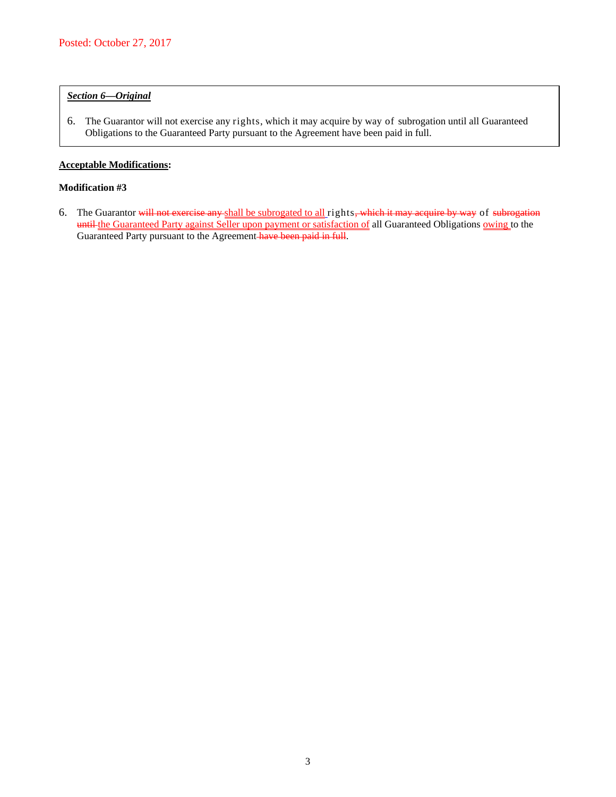## *Section 6—Original*

6. The Guarantor will not exercise any rights, which it may acquire by way of subrogation until all Guaranteed Obligations to the Guaranteed Party pursuant to the Agreement have been paid in full.

#### **Acceptable Modifications:**

#### **Modification #3**

6. The Guarantor will not exercise any shall be subrogated to all rights, which it may acquire by way of subrogation until the Guaranteed Party against Seller upon payment or satisfaction of all Guaranteed Obligations owing to the Guaranteed Party pursuant to the Agreement have been paid in full.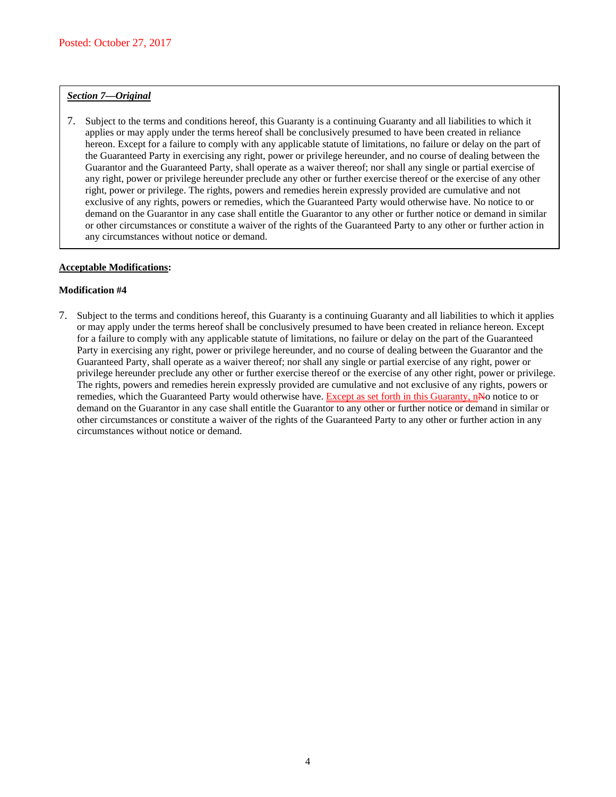## *Section 7—Original*

7. Subject to the terms and conditions hereof, this Guaranty is a continuing Guaranty and all liabilities to which it applies or may apply under the terms hereof shall be conclusively presumed to have been created in reliance hereon. Except for a failure to comply with any applicable statute of limitations, no failure or delay on the part of the Guaranteed Party in exercising any right, power or privilege hereunder, and no course of dealing between the Guarantor and the Guaranteed Party, shall operate as a waiver thereof; nor shall any single or partial exercise of any right, power or privilege hereunder preclude any other or further exercise thereof or the exercise of any other right, power or privilege. The rights, powers and remedies herein expressly provided are cumulative and not exclusive of any rights, powers or remedies, which the Guaranteed Party would otherwise have. No notice to or demand on the Guarantor in any case shall entitle the Guarantor to any other or further notice or demand in similar or other circumstances or constitute a waiver of the rights of the Guaranteed Party to any other or further action in any circumstances without notice or demand.

### **Acceptable Modifications:**

## **Modification #4**

7. Subject to the terms and conditions hereof, this Guaranty is a continuing Guaranty and all liabilities to which it applies or may apply under the terms hereof shall be conclusively presumed to have been created in reliance hereon. Except for a failure to comply with any applicable statute of limitations, no failure or delay on the part of the Guaranteed Party in exercising any right, power or privilege hereunder, and no course of dealing between the Guarantor and the Guaranteed Party, shall operate as a waiver thereof; nor shall any single or partial exercise of any right, power or privilege hereunder preclude any other or further exercise thereof or the exercise of any other right, power or privilege. The rights, powers and remedies herein expressly provided are cumulative and not exclusive of any rights, powers or remedies, which the Guaranteed Party would otherwise have. Except as set forth in this Guaranty, nNo notice to or demand on the Guarantor in any case shall entitle the Guarantor to any other or further notice or demand in similar or other circumstances or constitute a waiver of the rights of the Guaranteed Party to any other or further action in any circumstances without notice or demand.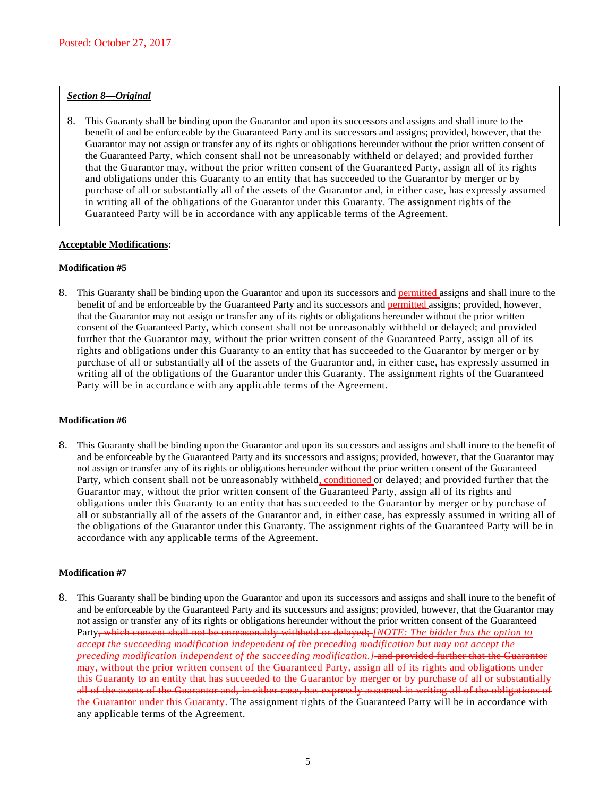### *Section 8—Original*

8. This Guaranty shall be binding upon the Guarantor and upon its successors and assigns and shall inure to the benefit of and be enforceable by the Guaranteed Party and its successors and assigns; provided, however, that the Guarantor may not assign or transfer any of its rights or obligations hereunder without the prior written consent of the Guaranteed Party, which consent shall not be unreasonably withheld or delayed; and provided further that the Guarantor may, without the prior written consent of the Guaranteed Party, assign all of its rights and obligations under this Guaranty to an entity that has succeeded to the Guarantor by merger or by purchase of all or substantially all of the assets of the Guarantor and, in either case, has expressly assumed in writing all of the obligations of the Guarantor under this Guaranty. The assignment rights of the Guaranteed Party will be in accordance with any applicable terms of the Agreement.

#### **Acceptable Modifications:**

#### **Modification #5**

8. This Guaranty shall be binding upon the Guarantor and upon its successors and permitted assigns and shall inure to the benefit of and be enforceable by the Guaranteed Party and its successors and permitted assigns; provided, however, that the Guarantor may not assign or transfer any of its rights or obligations hereunder without the prior written consent of the Guaranteed Party, which consent shall not be unreasonably withheld or delayed; and provided further that the Guarantor may, without the prior written consent of the Guaranteed Party, assign all of its rights and obligations under this Guaranty to an entity that has succeeded to the Guarantor by merger or by purchase of all or substantially all of the assets of the Guarantor and, in either case, has expressly assumed in writing all of the obligations of the Guarantor under this Guaranty. The assignment rights of the Guaranteed Party will be in accordance with any applicable terms of the Agreement.

#### **Modification #6**

8. This Guaranty shall be binding upon the Guarantor and upon its successors and assigns and shall inure to the benefit of and be enforceable by the Guaranteed Party and its successors and assigns; provided, however, that the Guarantor may not assign or transfer any of its rights or obligations hereunder without the prior written consent of the Guaranteed Party, which consent shall not be unreasonably withheld, conditioned or delayed; and provided further that the Guarantor may, without the prior written consent of the Guaranteed Party, assign all of its rights and obligations under this Guaranty to an entity that has succeeded to the Guarantor by merger or by purchase of all or substantially all of the assets of the Guarantor and, in either case, has expressly assumed in writing all of the obligations of the Guarantor under this Guaranty. The assignment rights of the Guaranteed Party will be in accordance with any applicable terms of the Agreement.

### **Modification #7**

8. This Guaranty shall be binding upon the Guarantor and upon its successors and assigns and shall inure to the benefit of and be enforceable by the Guaranteed Party and its successors and assigns; provided, however, that the Guarantor may not assign or transfer any of its rights or obligations hereunder without the prior written consent of the Guaranteed Party, which consent shall not be unreasonably withheld or delayed; *[NOTE: The bidder has the option to accept the succeeding modification independent of the preceding modification but may not accept the preceding modification independent of the succeeding modification.]* and provided further that the Guarantor may, without the prior written consent of the Guaranteed Party, assign all of its rights and obligations under this Guaranty to an entity that has succeeded to the Guarantor by merger or by purchase of all or substantially all of the assets of the Guarantor and, in either case, has expressly assumed in writing all of the obligations of the Guarantor under this Guaranty. The assignment rights of the Guaranteed Party will be in accordance with any applicable terms of the Agreement.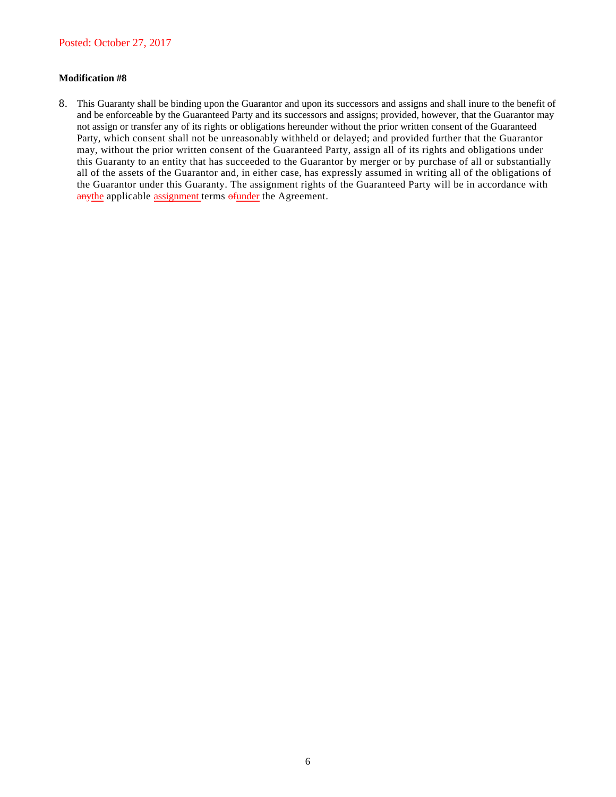## **Modification #8**

8. This Guaranty shall be binding upon the Guarantor and upon its successors and assigns and shall inure to the benefit of and be enforceable by the Guaranteed Party and its successors and assigns; provided, however, that the Guarantor may not assign or transfer any of its rights or obligations hereunder without the prior written consent of the Guaranteed Party, which consent shall not be unreasonably withheld or delayed; and provided further that the Guarantor may, without the prior written consent of the Guaranteed Party, assign all of its rights and obligations under this Guaranty to an entity that has succeeded to the Guarantor by merger or by purchase of all or substantially all of the assets of the Guarantor and, in either case, has expressly assumed in writing all of the obligations of the Guarantor under this Guaranty. The assignment rights of the Guaranteed Party will be in accordance with anythe applicable assignment terms of under the Agreement.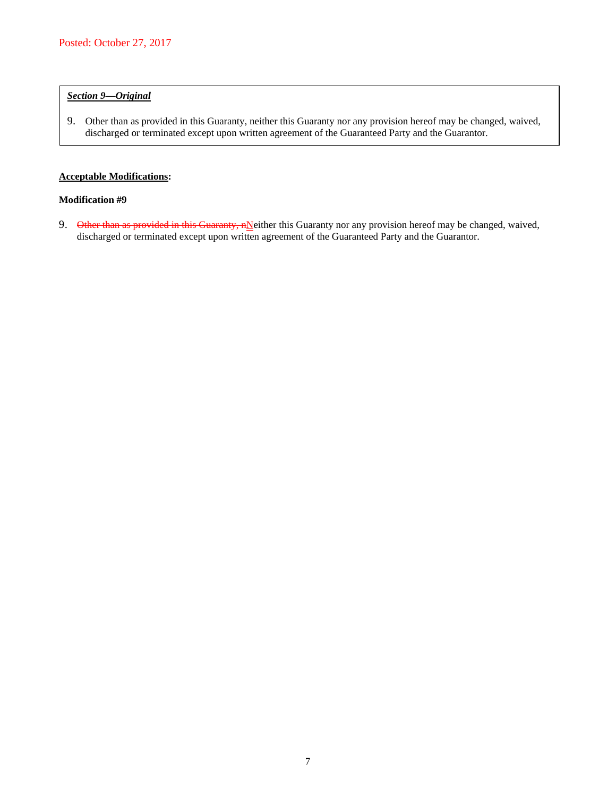## *Section 9—Original*

9. Other than as provided in this Guaranty, neither this Guaranty nor any provision hereof may be changed, waived, discharged or terminated except upon written agreement of the Guaranteed Party and the Guarantor.

## **Acceptable Modifications:**

### **Modification #9**

9. Other than as provided in this Guaranty, nNeither this Guaranty nor any provision hereof may be changed, waived, discharged or terminated except upon written agreement of the Guaranteed Party and the Guarantor.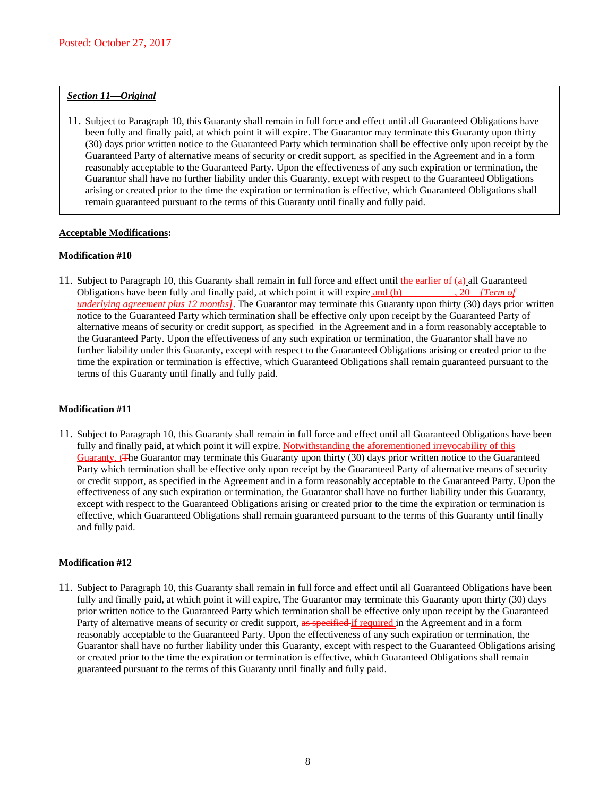### *Section 11—Original*

11. Subject to Paragraph 10, this Guaranty shall remain in full force and effect until all Guaranteed Obligations have been fully and finally paid, at which point it will expire. The Guarantor may terminate this Guaranty upon thirty (30) days prior written notice to the Guaranteed Party which termination shall be effective only upon receipt by the Guaranteed Party of alternative means of security or credit support, as specified in the Agreement and in a form reasonably acceptable to the Guaranteed Party. Upon the effectiveness of any such expiration or termination, the Guarantor shall have no further liability under this Guaranty, except with respect to the Guaranteed Obligations arising or created prior to the time the expiration or termination is effective, which Guaranteed Obligations shall remain guaranteed pursuant to the terms of this Guaranty until finally and fully paid.

### **Acceptable Modifications:**

### **Modification #10**

11. Subject to Paragraph 10, this Guaranty shall remain in full force and effect until the earlier of (a) all Guaranteed Obligations have been fully and finally paid, at which point it will expire and (b) \_\_\_\_\_\_\_\_\_\_, 20*\_\_[Term of underlying agreement plus 12 months]*. The Guarantor may terminate this Guaranty upon thirty (30) days prior written notice to the Guaranteed Party which termination shall be effective only upon receipt by the Guaranteed Party of alternative means of security or credit support, as specified in the Agreement and in a form reasonably acceptable to the Guaranteed Party. Upon the effectiveness of any such expiration or termination, the Guarantor shall have no further liability under this Guaranty, except with respect to the Guaranteed Obligations arising or created prior to the time the expiration or termination is effective, which Guaranteed Obligations shall remain guaranteed pursuant to the terms of this Guaranty until finally and fully paid.

### **Modification #11**

11. Subject to Paragraph 10, this Guaranty shall remain in full force and effect until all Guaranteed Obligations have been fully and finally paid, at which point it will expire. Notwithstanding the aforementioned irrevocability of this Guaranty, t<sup>T</sup>he Guarantor may terminate this Guaranty upon thirty (30) days prior written notice to the Guaranteed Party which termination shall be effective only upon receipt by the Guaranteed Party of alternative means of security or credit support, as specified in the Agreement and in a form reasonably acceptable to the Guaranteed Party. Upon the effectiveness of any such expiration or termination, the Guarantor shall have no further liability under this Guaranty, except with respect to the Guaranteed Obligations arising or created prior to the time the expiration or termination is effective, which Guaranteed Obligations shall remain guaranteed pursuant to the terms of this Guaranty until finally and fully paid.

### **Modification #12**

11. Subject to Paragraph 10, this Guaranty shall remain in full force and effect until all Guaranteed Obligations have been fully and finally paid, at which point it will expire, The Guarantor may terminate this Guaranty upon thirty (30) days prior written notice to the Guaranteed Party which termination shall be effective only upon receipt by the Guaranteed Party of alternative means of security or credit support, as specified if required in the Agreement and in a form reasonably acceptable to the Guaranteed Party. Upon the effectiveness of any such expiration or termination, the Guarantor shall have no further liability under this Guaranty, except with respect to the Guaranteed Obligations arising or created prior to the time the expiration or termination is effective, which Guaranteed Obligations shall remain guaranteed pursuant to the terms of this Guaranty until finally and fully paid.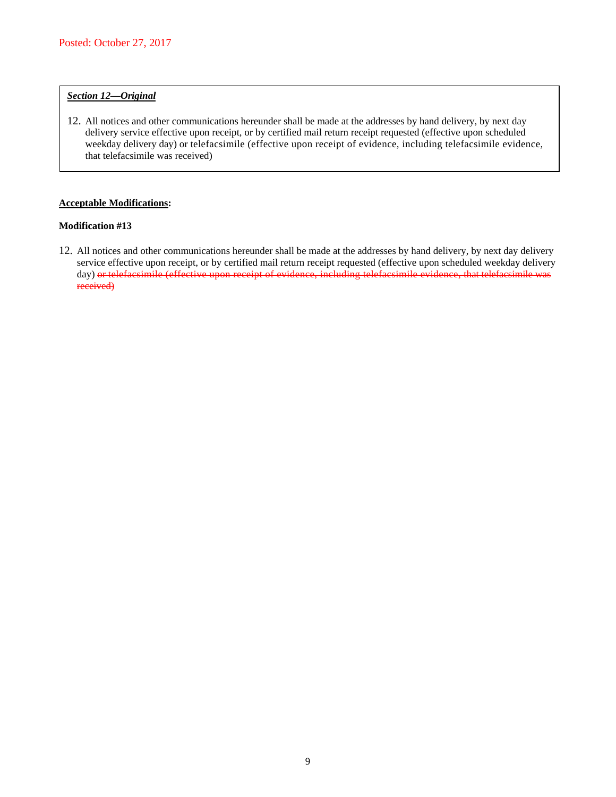## *Section 12—Original*

12. All notices and other communications hereunder shall be made at the addresses by hand delivery, by next day delivery service effective upon receipt, or by certified mail return receipt requested (effective upon scheduled weekday delivery day) or telefacsimile (effective upon receipt of evidence, including telefacsimile evidence, that telefacsimile was received)

## **Acceptable Modifications:**

#### **Modification #13**

12. All notices and other communications hereunder shall be made at the addresses by hand delivery, by next day delivery service effective upon receipt, or by certified mail return receipt requested (effective upon scheduled weekday delivery day) or telefacsimile (effective upon receipt of evidence, including telefacsimile evidence, that telefacsimile was received)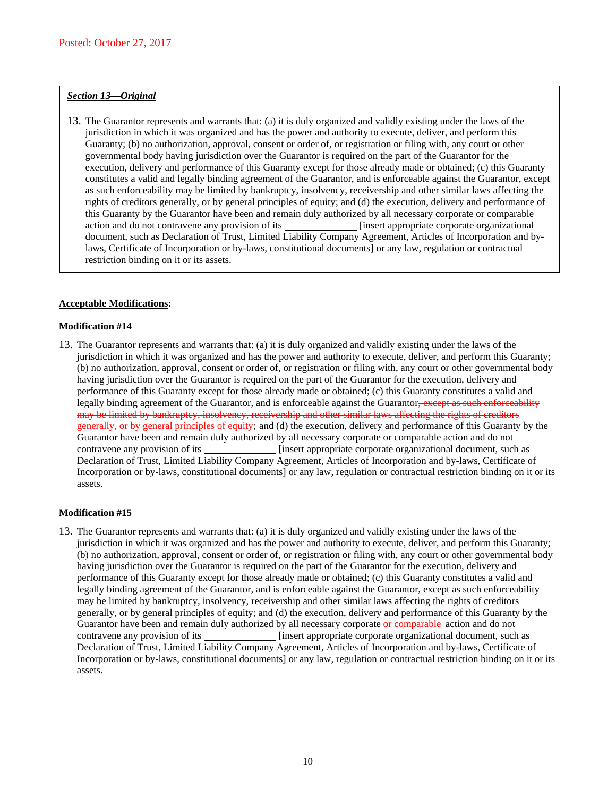#### *Section 13—Original*

13. The Guarantor represents and warrants that: (a) it is duly organized and validly existing under the laws of the jurisdiction in which it was organized and has the power and authority to execute, deliver, and perform this Guaranty; (b) no authorization, approval, consent or order of, or registration or filing with, any court or other governmental body having jurisdiction over the Guarantor is required on the part of the Guarantor for the execution, delivery and performance of this Guaranty except for those already made or obtained; (c) this Guaranty constitutes a valid and legally binding agreement of the Guarantor, and is enforceable against the Guarantor, except as such enforceability may be limited by bankruptcy, insolvency, receivership and other similar laws affecting the rights of creditors generally, or by general principles of equity; and (d) the execution, delivery and performance of this Guaranty by the Guarantor have been and remain duly authorized by all necessary corporate or comparable action and do not contravene any provision of its **[insert appropriate corporate organizational**] document, such as Declaration of Trust, Limited Liability Company Agreement, Articles of Incorporation and bylaws, Certificate of Incorporation or by-laws, constitutional documents] or any law, regulation or contractual restriction binding on it or its assets.

### **Acceptable Modifications:**

#### **Modification #14**

13. The Guarantor represents and warrants that: (a) it is duly organized and validly existing under the laws of the jurisdiction in which it was organized and has the power and authority to execute, deliver, and perform this Guaranty; (b) no authorization, approval, consent or order of, or registration or filing with, any court or other governmental body having jurisdiction over the Guarantor is required on the part of the Guarantor for the execution, delivery and performance of this Guaranty except for those already made or obtained; (c) this Guaranty constitutes a valid and legally binding agreement of the Guarantor, and is enforceable against the Guarantor, except as such enforceability may be limited by bankruptcy, insolvency, receivership and other similar laws affecting the rights of creditors generally, or by general principles of equity; and (d) the execution, delivery and performance of this Guaranty by the Guarantor have been and remain duly authorized by all necessary corporate or comparable action and do not contravene any provision of its *i***idle** [insert appropriate corporate organizational document, such as Declaration of Trust, Limited Liability Company Agreement, Articles of Incorporation and by-laws, Certificate of Incorporation or by-laws, constitutional documents] or any law, regulation or contractual restriction binding on it or its assets.

### **Modification #15**

13. The Guarantor represents and warrants that: (a) it is duly organized and validly existing under the laws of the jurisdiction in which it was organized and has the power and authority to execute, deliver, and perform this Guaranty; (b) no authorization, approval, consent or order of, or registration or filing with, any court or other governmental body having jurisdiction over the Guarantor is required on the part of the Guarantor for the execution, delivery and performance of this Guaranty except for those already made or obtained; (c) this Guaranty constitutes a valid and legally binding agreement of the Guarantor, and is enforceable against the Guarantor, except as such enforceability may be limited by bankruptcy, insolvency, receivership and other similar laws affecting the rights of creditors generally, or by general principles of equity; and (d) the execution, delivery and performance of this Guaranty by the Guarantor have been and remain duly authorized by all necessary corporate or comparable action and do not contravene any provision of its *image insert appropriate corporate organizational document, such as* Declaration of Trust, Limited Liability Company Agreement, Articles of Incorporation and by-laws, Certificate of Incorporation or by-laws, constitutional documents] or any law, regulation or contractual restriction binding on it or its assets.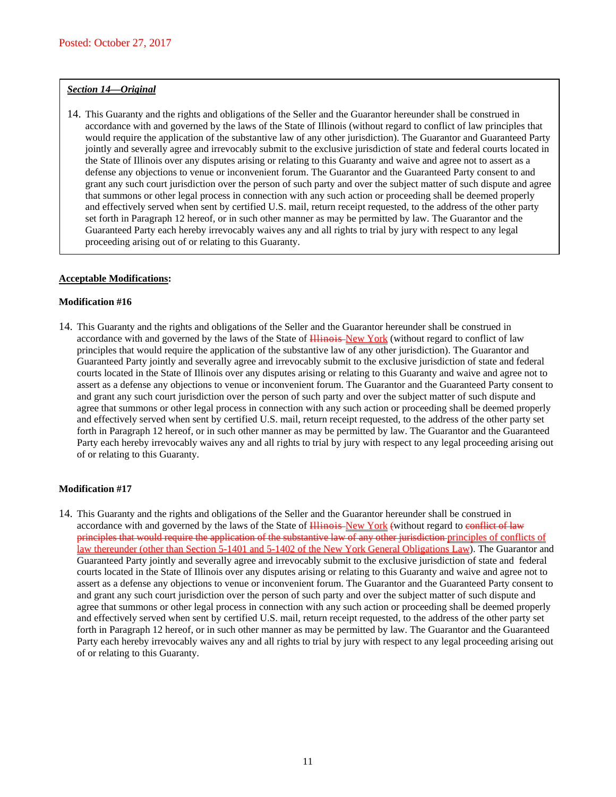#### *Section 14—Original*

14. This Guaranty and the rights and obligations of the Seller and the Guarantor hereunder shall be construed in accordance with and governed by the laws of the State of Illinois (without regard to conflict of law principles that would require the application of the substantive law of any other jurisdiction). The Guarantor and Guaranteed Party jointly and severally agree and irrevocably submit to the exclusive jurisdiction of state and federal courts located in the State of Illinois over any disputes arising or relating to this Guaranty and waive and agree not to assert as a defense any objections to venue or inconvenient forum. The Guarantor and the Guaranteed Party consent to and grant any such court jurisdiction over the person of such party and over the subject matter of such dispute and agree that summons or other legal process in connection with any such action or proceeding shall be deemed properly and effectively served when sent by certified U.S. mail, return receipt requested, to the address of the other party set forth in Paragraph 12 hereof, or in such other manner as may be permitted by law. The Guarantor and the Guaranteed Party each hereby irrevocably waives any and all rights to trial by jury with respect to any legal proceeding arising out of or relating to this Guaranty.

### **Acceptable Modifications:**

#### **Modification #16**

14. This Guaranty and the rights and obligations of the Seller and the Guarantor hereunder shall be construed in accordance with and governed by the laws of the State of Hinois-New York (without regard to conflict of law principles that would require the application of the substantive law of any other jurisdiction). The Guarantor and Guaranteed Party jointly and severally agree and irrevocably submit to the exclusive jurisdiction of state and federal courts located in the State of Illinois over any disputes arising or relating to this Guaranty and waive and agree not to assert as a defense any objections to venue or inconvenient forum. The Guarantor and the Guaranteed Party consent to and grant any such court jurisdiction over the person of such party and over the subject matter of such dispute and agree that summons or other legal process in connection with any such action or proceeding shall be deemed properly and effectively served when sent by certified U.S. mail, return receipt requested, to the address of the other party set forth in Paragraph 12 hereof, or in such other manner as may be permitted by law. The Guarantor and the Guaranteed Party each hereby irrevocably waives any and all rights to trial by jury with respect to any legal proceeding arising out of or relating to this Guaranty.

### **Modification #17**

14. This Guaranty and the rights and obligations of the Seller and the Guarantor hereunder shall be construed in accordance with and governed by the laws of the State of Hinois-New York (without regard to conflict of law principles that would require the application of the substantive law of any other jurisdiction principles of conflicts of law thereunder (other than Section 5-1401 and 5-1402 of the New York General Obligations Law). The Guarantor and Guaranteed Party jointly and severally agree and irrevocably submit to the exclusive jurisdiction of state and federal courts located in the State of Illinois over any disputes arising or relating to this Guaranty and waive and agree not to assert as a defense any objections to venue or inconvenient forum. The Guarantor and the Guaranteed Party consent to and grant any such court jurisdiction over the person of such party and over the subject matter of such dispute and agree that summons or other legal process in connection with any such action or proceeding shall be deemed properly and effectively served when sent by certified U.S. mail, return receipt requested, to the address of the other party set forth in Paragraph 12 hereof, or in such other manner as may be permitted by law. The Guarantor and the Guaranteed Party each hereby irrevocably waives any and all rights to trial by jury with respect to any legal proceeding arising out of or relating to this Guaranty.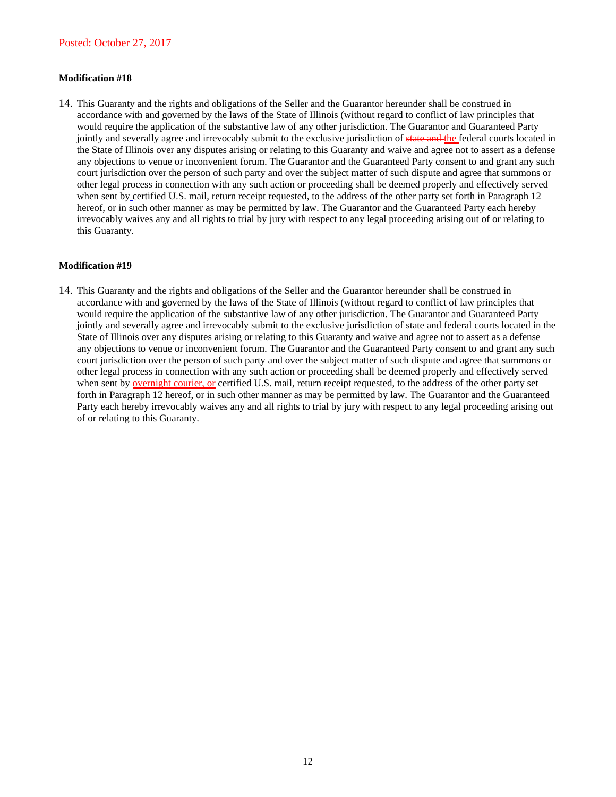### **Modification #18**

14. This Guaranty and the rights and obligations of the Seller and the Guarantor hereunder shall be construed in accordance with and governed by the laws of the State of Illinois (without regard to conflict of law principles that would require the application of the substantive law of any other jurisdiction. The Guarantor and Guaranteed Party jointly and severally agree and irrevocably submit to the exclusive jurisdiction of state and the federal courts located in the State of Illinois over any disputes arising or relating to this Guaranty and waive and agree not to assert as a defense any objections to venue or inconvenient forum. The Guarantor and the Guaranteed Party consent to and grant any such court jurisdiction over the person of such party and over the subject matter of such dispute and agree that summons or other legal process in connection with any such action or proceeding shall be deemed properly and effectively served when sent by certified U.S. mail, return receipt requested, to the address of the other party set forth in Paragraph 12 hereof, or in such other manner as may be permitted by law. The Guarantor and the Guaranteed Party each hereby irrevocably waives any and all rights to trial by jury with respect to any legal proceeding arising out of or relating to this Guaranty.

### **Modification #19**

14. This Guaranty and the rights and obligations of the Seller and the Guarantor hereunder shall be construed in accordance with and governed by the laws of the State of Illinois (without regard to conflict of law principles that would require the application of the substantive law of any other jurisdiction. The Guarantor and Guaranteed Party jointly and severally agree and irrevocably submit to the exclusive jurisdiction of state and federal courts located in the State of Illinois over any disputes arising or relating to this Guaranty and waive and agree not to assert as a defense any objections to venue or inconvenient forum. The Guarantor and the Guaranteed Party consent to and grant any such court jurisdiction over the person of such party and over the subject matter of such dispute and agree that summons or other legal process in connection with any such action or proceeding shall be deemed properly and effectively served when sent by <u>overnight courier, or</u> certified U.S. mail, return receipt requested, to the address of the other party set forth in Paragraph 12 hereof, or in such other manner as may be permitted by law. The Guarantor and the Guaranteed Party each hereby irrevocably waives any and all rights to trial by jury with respect to any legal proceeding arising out of or relating to this Guaranty.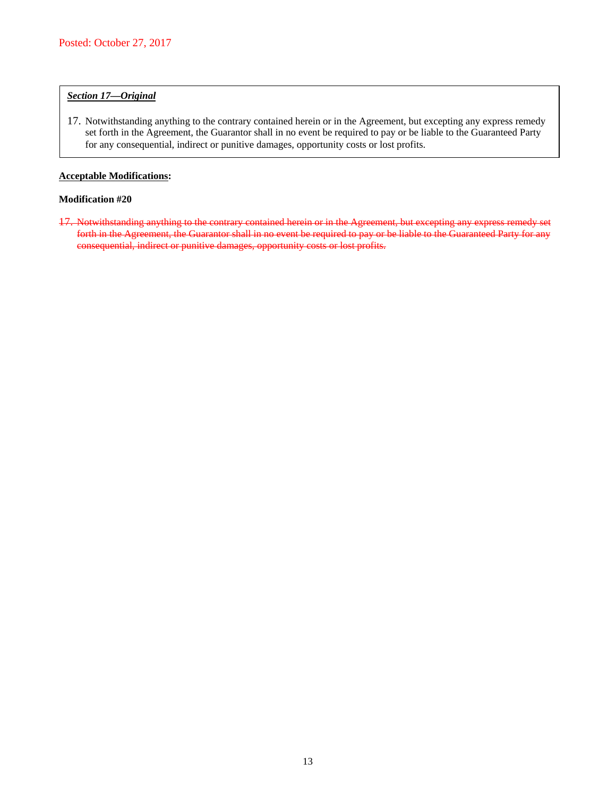## *Section 17—Original*

17. Notwithstanding anything to the contrary contained herein or in the Agreement, but excepting any express remedy set forth in the Agreement, the Guarantor shall in no event be required to pay or be liable to the Guaranteed Party for any consequential, indirect or punitive damages, opportunity costs or lost profits.

## **Acceptable Modifications:**

## **Modification #20**

17. Notwithstanding anything to the contrary contained herein or in the Agreement, but excepting any express remedy set forth in the Agreement, the Guarantor shall in no event be required to pay or be liable to the Guaranteed Party for any consequential, indirect or punitive damages, opportunity costs or lost profits.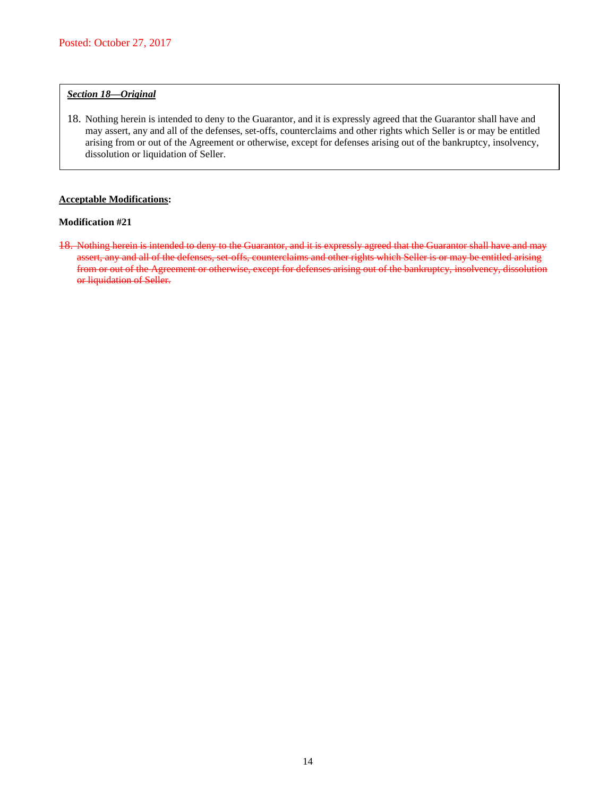## *Section 18—Original*

18. Nothing herein is intended to deny to the Guarantor, and it is expressly agreed that the Guarantor shall have and may assert, any and all of the defenses, set-offs, counterclaims and other rights which Seller is or may be entitled arising from or out of the Agreement or otherwise, except for defenses arising out of the bankruptcy, insolvency, dissolution or liquidation of Seller.

## **Acceptable Modifications:**

## **Modification #21**

18. Nothing herein is intended to deny to the Guarantor, and it is expressly agreed that the Guarantor shall have and may assert, any and all of the defenses, set-offs, counterclaims and other rights which Seller is or may be entitled arising from or out of the Agreement or otherwise, except for defenses arising out of the bankruptcy, insolvency, dissolution or liquidation of Seller.